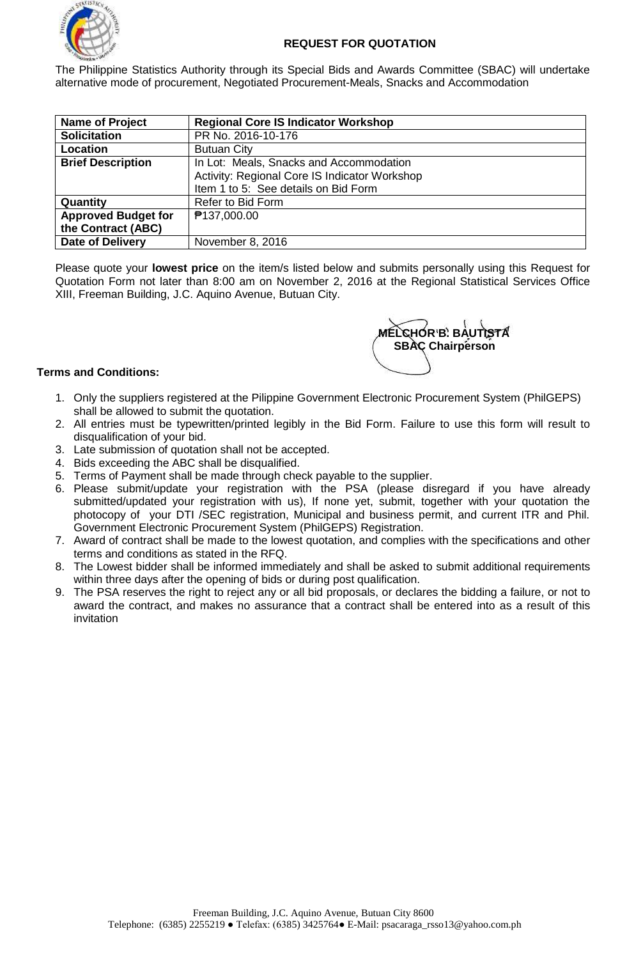

The Philippine Statistics Authority through its Special Bids and Awards Committee (SBAC) will undertake alternative mode of procurement, Negotiated Procurement-Meals, Snacks and Accommodation

| <b>Name of Project</b>     | <b>Regional Core IS Indicator Workshop</b>    |
|----------------------------|-----------------------------------------------|
| <b>Solicitation</b>        | PR No. 2016-10-176                            |
| Location                   | <b>Butuan City</b>                            |
| <b>Brief Description</b>   | In Lot: Meals, Snacks and Accommodation       |
|                            | Activity: Regional Core IS Indicator Workshop |
|                            | Item 1 to 5: See details on Bid Form          |
| Quantity                   | Refer to Bid Form                             |
| <b>Approved Budget for</b> | ₱137,000.00                                   |
| the Contract (ABC)         |                                               |
| <b>Date of Delivery</b>    | November 8, 2016                              |

Please quote your **lowest price** on the item/s listed below and submits personally using this Request for Quotation Form not later than 8:00 am on November 2, 2016 at the Regional Statistical Services Office XIII, Freeman Building, J.C. Aquino Avenue, Butuan City.



## **Terms and Conditions:**

- 1. Only the suppliers registered at the Pilippine Government Electronic Procurement System (PhilGEPS) shall be allowed to submit the quotation.
- 2. All entries must be typewritten/printed legibly in the Bid Form. Failure to use this form will result to disqualification of your bid.
- 3. Late submission of quotation shall not be accepted.
- 4. Bids exceeding the ABC shall be disqualified.
- 5. Terms of Payment shall be made through check payable to the supplier.
- 6. Please submit/update your registration with the PSA (please disregard if you have already submitted/updated your registration with us), If none yet, submit, together with your quotation the photocopy of your DTI /SEC registration, Municipal and business permit, and current ITR and Phil. Government Electronic Procurement System (PhilGEPS) Registration.
- 7. Award of contract shall be made to the lowest quotation, and complies with the specifications and other terms and conditions as stated in the RFQ.
- 8. The Lowest bidder shall be informed immediately and shall be asked to submit additional requirements within three days after the opening of bids or during post qualification.
- 9. The PSA reserves the right to reject any or all bid proposals, or declares the bidding a failure, or not to award the contract, and makes no assurance that a contract shall be entered into as a result of this invitation